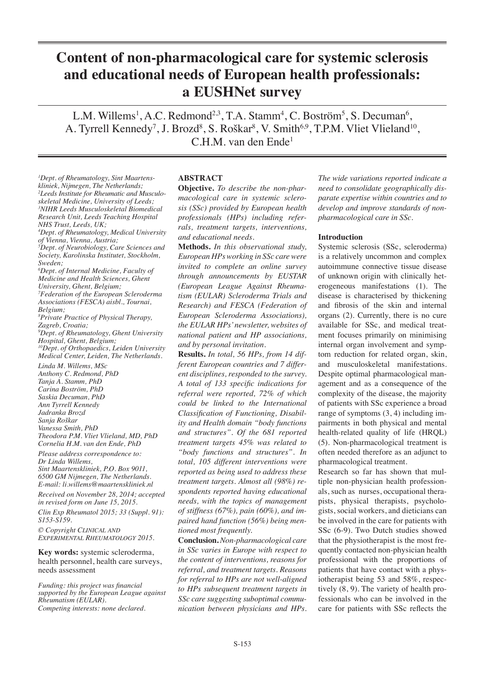# **Content of non-pharmacological care for systemic sclerosis and educational needs of European health professionals: a EUSHNet survey**

L.M. Willems<sup>1</sup>, A.C. Redmond<sup>2,3</sup>, T.A. Stamm<sup>4</sup>, C. Boström<sup>5</sup>, S. Decuman<sup>6</sup>, A. Tyrrell Kennedy<sup>7</sup>, J. Brozd<sup>8</sup>, S. Roškar<sup>8</sup>, V. Smith<sup>6,9</sup>, T.P.M. Vliet Vlieland<sup>10</sup>, C.H.M. van den Ende1

*1 Dept. of Rheumatology, Sint Maartenskliniek, Nijmegen, The Netherlands; 2 Leeds Institute for Rheumatic and Musculoskeletal Medicine, University of Leeds; 3 NIHR Leeds Musculoskeletal Biomedical Research Unit, Leeds Teaching Hospital NHS Trust, Leeds, UK; 4 Dept. of Rheumatology, Medical University of Vienna, Vienna, Austria; 5 Dept. of Neurobiology, Care Sciences and Society, Karolinska Institutet, Stockholm, Sweden; 6 Dept. of Internal Medicine, Faculty of Medicine and Health Sciences, Ghent University, Ghent, Belgium; 7 Federation of the European Scleroderma Associations (FESCA) aisbl., Tournai, Belgium; 8 Private Practice of Physical Therapy, Zagreb, Croatia; 9 Dept. of Rheumatology, Ghent University Hospital, Ghent, Belgium; 10Dept. of Orthopaedics, Leiden University Medical Center, Leiden, The Netherlands. Linda M. Willems, MSc Anthony C. Redmond, PhD Tanja A. Stamm, PhD Carina Boström, PhD Saskia Decuman, PhD Ann Tyrrell Kennedy Jadranka Brozd Sanja Roškar Vanessa Smith, PhD*

*Theodora P.M. Vliet Vlieland, MD, PhD Cornelia H.M. van den Ende, PhD*

*Please address correspondence to: Dr Linda Willems, Sint Maartenskliniek, P.O. Box 9011, 6500 GM Nijmegen, The Netherlands. E-mail: li.willems@maartenskliniek.nl*

*Received on November 28, 2014; accepted in revised form on June 15, 2015.*

*Clin Exp Rheumatol 2015; 33 (Suppl. 91): S153-S159. © Copyright Clinical and*

*Experimental Rheumatology 2015.*

**Key words:** systemic scleroderma, health personnel, health care surveys, needs assessment

*Funding: this project was financial supported by the European League against Rheumatism (EULAR). Competing interests: none declared.*

## **ABSTRACT**

**Objective.** *To describe the non-pharmacological care in systemic sclerosis (SSc) provided by European health professionals (HPs) including referrals, treatment targets, interventions, and educational needs.*

**Methods.** *In this observational study, European HPs working in SSc care were invited to complete an online survey through announcements by EUSTAR (European League Against Rheumatism (EULAR) Scleroderma Trials and Research) and FESCA (Federation of European Scleroderma Associations), the EULAR HPs' newsletter, websites of national patient and HP associations, and by personal invitation.*

**Results.** *In total, 56 HPs, from 14 different European countries and 7 different disciplines, responded to the survey. A total of 133 specific indications for referral were reported, 72% of which could be linked to the International Classification of Functioning, Disability and Health domain "body functions and structures". Of the 681 reported treatment targets 45% was related to "body functions and structures". In total, 105 different interventions were reported as being used to address these treatment targets. Almost all (98%) respondents reported having educational needs, with the topics of management of stiffness (67%), pain (60%), and impaired hand function (56%) being mentioned most frequently.*

**Conclusion.***Non-pharmacological care in SSc varies in Europe with respect to the content of interventions, reasons for referral, and treatment targets. Reasons for referral to HPs are not well-aligned to HPs subsequent treatment targets in SSc care suggesting suboptimal communication between physicians and HPs.* 

*The wide variations reported indicate a need to consolidate geographically disparate expertise within countries and to develop and improve standards of nonpharmacological care in SSc.*

## **Introduction**

Systemic sclerosis (SSc, scleroderma) is a relatively uncommon and complex autoimmune connective tissue disease of unknown origin with clinically heterogeneous manifestations (1). The disease is characterised by thickening and fibrosis of the skin and internal organs (2). Currently, there is no cure available for SSc, and medical treatment focuses primarily on minimising internal organ involvement and symptom reduction for related organ, skin, and musculoskeletal manifestations. Despite optimal pharmacological management and as a consequence of the complexity of the disease, the majority of patients with SSc experience a broad range of symptoms (3, 4) including impairments in both physical and mental health-related quality of life (HRQL) (5). Non-pharmacological treatment is often needed therefore as an adjunct to pharmacological treatment.

Research so far has shown that multiple non-physician health professionals, such as nurses, occupational therapists, physical therapists, psychologists, social workers, and dieticians can be involved in the care for patients with SSc (6-9). Two Dutch studies showed that the physiotherapist is the most frequently contacted non-physician health professional with the proportions of patients that have contact with a physiotherapist being 53 and 58%, respectively (8, 9). The variety of health professionals who can be involved in the care for patients with SSc reflects the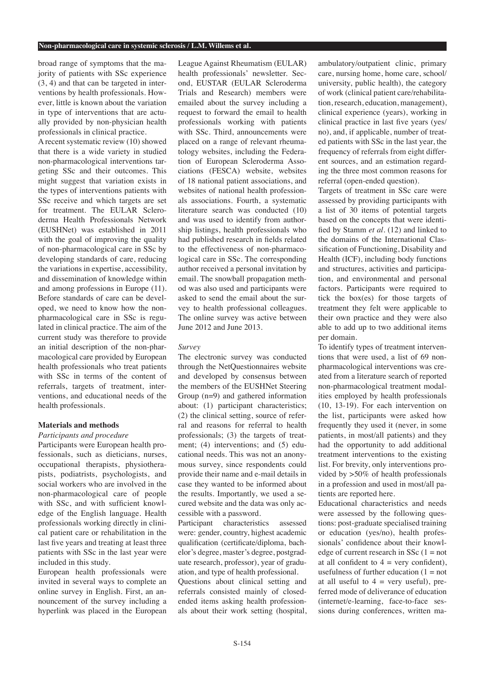broad range of symptoms that the majority of patients with SSc experience (3, 4) and that can be targeted in interventions by health professionals. However, little is known about the variation in type of interventions that are actually provided by non-physician health professionals in clinical practice.

A recent systematic review (10) showed that there is a wide variety in studied non-pharmacological interventions targeting SSc and their outcomes. This might suggest that variation exists in the types of interventions patients with SSc receive and which targets are set for treatment. The EULAR Scleroderma Health Professionals Network (EUSHNet) was established in 2011 with the goal of improving the quality of non-pharmacological care in SSc by developing standards of care, reducing the variations in expertise, accessibility, and dissemination of knowledge within and among professions in Europe (11). Before standards of care can be developed, we need to know how the nonpharmacological care in SSc is regulated in clinical practice. The aim of the current study was therefore to provide an initial description of the non-pharmacological care provided by European health professionals who treat patients with SSc in terms of the content of referrals, targets of treatment, interventions, and educational needs of the health professionals.

#### **Materials and methods**

# *Participants and procedure*

Participants were European health professionals, such as dieticians, nurses, occupational therapists, physiotherapists, podiatrists, psychologists, and social workers who are involved in the non-pharmacological care of people with SSc, and with sufficient knowledge of the English language. Health professionals working directly in clinical patient care or rehabilitation in the last five years and treating at least three patients with SSc in the last year were included in this study.

European health professionals were invited in several ways to complete an online survey in English. First, an announcement of the survey including a hyperlink was placed in the European

League Against Rheumatism (EULAR) health professionals' newsletter. Second, EUSTAR (EULAR Scleroderma Trials and Research) members were emailed about the survey including a request to forward the email to health professionals working with patients with SSc. Third, announcements were placed on a range of relevant rheumatology websites, including the Federation of European Scleroderma Associations (FESCA) website, websites of 18 national patient associations, and websites of national health professionals associations. Fourth, a systematic literature search was conducted (10) and was used to identify from authorship listings, health professionals who had published research in fields related to the effectiveness of non-pharmacological care in SSc. The corresponding author received a personal invitation by email. The snowball propagation method was also used and participants were asked to send the email about the survey to health professional colleagues. The online survey was active between June 2012 and June 2013.

#### *Survey*

The electronic survey was conducted through the NetQuestionnaires website and developed by consensus between the members of the EUSHNet Steering Group (n=9) and gathered information about: (1) participant characteristics; (2) the clinical setting, source of referral and reasons for referral to health professionals; (3) the targets of treatment; (4) interventions; and (5) educational needs. This was not an anonymous survey, since respondents could provide their name and e-mail details in case they wanted to be informed about the results. Importantly, we used a secured website and the data was only accessible with a password.

Participant characteristics assessed were: gender, country, highest academic qualification (certificate/diploma, bachelor's degree, master's degree, postgraduate research, professor), year of graduation, and type of health professional.

Questions about clinical setting and referrals consisted mainly of closedended items asking health professionals about their work setting (hospital, ambulatory/outpatient clinic, primary care, nursing home, home care, school/ university, public health), the category of work (clinical patient care/rehabilitation, research, education, management), clinical experience (years), working in clinical practice in last five years (yes/ no), and, if applicable, number of treated patients with SSc in the last year, the frequency of referrals from eight different sources, and an estimation regarding the three most common reasons for referral (open-ended question).

Targets of treatment in SSc care were assessed by providing participants with a list of 30 items of potential targets based on the concepts that were identified by Stamm *et al.* (12) and linked to the domains of the International Classification of Functioning, Disability and Health (ICF), including body functions and structures, activities and participation, and environmental and personal factors. Participants were required to tick the box(es) for those targets of treatment they felt were applicable to their own practice and they were also able to add up to two additional items per domain.

To identify types of treatment interventions that were used, a list of 69 nonpharmacological interventions was created from a literature search of reported non-pharmacological treatment modalities employed by health professionals (10, 13-19). For each intervention on the list, participants were asked how frequently they used it (never, in some patients, in most/all patients) and they had the opportunity to add additional treatment interventions to the existing list. For brevity, only interventions provided by >50% of health professionals in a profession and used in most/all patients are reported here.

Educational characteristics and needs were assessed by the following questions: post-graduate specialised training or education (yes/no), health professionals' confidence about their knowledge of current research in SSc  $(1 = not$ at all confident to  $4 = \text{very confident}$ , usefulness of further education  $(1 = not$ at all useful to  $4 = \text{very useful}$ , preferred mode of deliverance of education (internet/e-learning, face-to-face sessions during conferences, written ma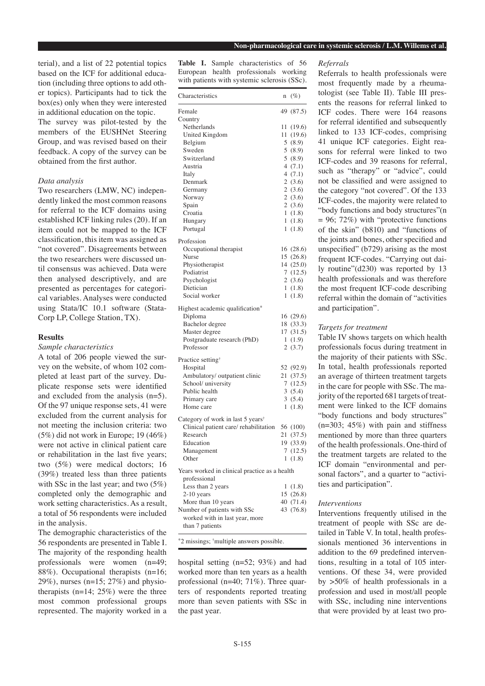terial), and a list of 22 potential topics based on the ICF for additional education (including three options to add other topics). Participants had to tick the box(es) only when they were interested in additional education on the topic. The survey was pilot-tested by the members of the EUSHNet Steering Group, and was revised based on their feedback. A copy of the survey can be obtained from the first author.

## *Data analysis*

Two researchers (LMW, NC) independently linked the most common reasons for referral to the ICF domains using established ICF linking rules (20). If an item could not be mapped to the ICF classification, this item was assigned as "not covered". Disagreements between the two researchers were discussed until consensus was achieved. Data were then analysed descriptively, and are presented as percentages for categorical variables. Analyses were conducted using Stata/IC 10.1 software (Stata-Corp LP, College Station, TX).

## **Results**

*Sample characteristics*

A total of 206 people viewed the survey on the website, of whom 102 completed at least part of the survey. Duplicate response sets were identified and excluded from the analysis (n=5). Of the 97 unique response sets, 41 were excluded from the current analysis for not meeting the inclusion criteria: two (5%) did not work in Europe; 19 (46%) were not active in clinical patient care or rehabilitation in the last five years; two (5%) were medical doctors; 16 (39%) treated less than three patients with SSc in the last year; and two (5%) completed only the demographic and work setting characteristics. As a result, a total of 56 respondents were included in the analysis.

The demographic characteristics of the 56 respondents are presented in Table I. The majority of the responding health professionals were women (n=49; 88%). Occupational therapists (n=16; 29%), nurses (n=15; 27%) and physiotherapists  $(n=14; 25%)$  were the three most common professional groups represented. The majority worked in a

**Table I.** Sample characteristics of 56 European health professionals working with patients with systemic sclerosis (SSc).

| Characteristics                               | n  | $(\%)$    |
|-----------------------------------------------|----|-----------|
| Female                                        | 49 | (87.5)    |
| Country                                       |    |           |
| Netherlands                                   | 11 | (19.6)    |
| United Kingdom                                |    | 11 (19.6) |
| Belgium                                       |    | 5(8.9)    |
| Sweden                                        |    | 5(8.9)    |
| Switzerland                                   |    | 5(8.9)    |
| Austria                                       |    | 4(7.1)    |
| Italy                                         |    | 4(7.1)    |
| Denmark                                       |    | 2(3.6)    |
| Germany                                       |    | 2(3.6)    |
| Norway                                        |    | 2(3.6)    |
| Spain                                         |    | 2(3.6)    |
| Croatia                                       |    | 1(1.8)    |
| Hungary                                       |    | 1(1.8)    |
| Portugal                                      | 1  | (1.8)     |
|                                               |    |           |
| Profession                                    |    |           |
| Occupational therapist                        |    | 16 (28.6) |
| Nurse                                         |    | 15 (26.8) |
| Physiotherapist                               |    | 14(25.0)  |
| Podiatrist                                    |    | 7(12.5)   |
| Psychologist                                  |    | 2(3.6)    |
| Dietician                                     |    | 1(1.8)    |
| Social worker                                 |    | 1(1.8)    |
| Highest academic qualification*               |    |           |
| Diploma                                       |    | 16(29.6)  |
| Bachelor degree                               |    | 18 (33.3) |
| Master degree                                 |    | 17(31.5)  |
| Postgraduate research (PhD)                   |    | 1(1.9)    |
| Professor                                     |    | 2(3.7)    |
| Practice setting <sup>†</sup>                 |    |           |
| Hospital                                      |    | 52 (92.9) |
| Ambulatory/ outpatient clinic                 |    | 21 (37.5) |
| School/ university                            |    | 7(12.5)   |
| Public health                                 |    | 3(5.4)    |
| Primary care                                  |    | 3(5.4)    |
| Home care                                     | 1  | (1.8)     |
| Category of work in last 5 years <sup>†</sup> |    |           |
| Clinical patient care/rehabilitation          |    | 56 (100)  |
| Research                                      | 21 | (37.5)    |
| Education                                     | 19 | (33.9)    |
| Management                                    |    | 7(12.5)   |
| Other                                         |    | 1(1.8)    |
|                                               |    |           |
| Years worked in clinical practice as a health |    |           |
| professional                                  |    |           |
| Less than 2 years                             |    | 1(1.8)    |
| $2-10$ years                                  |    | 15(26.8)  |
| More than 10 years                            |    | 40 (71.4) |
| Number of patients with SSc                   |    | 43 (76.8) |
| worked with in last year, more                |    |           |
| than 7 patients                               |    |           |

hospital setting (n=52; 93%) and had worked more than ten years as a health professional (n=40; 71%). Three quarters of respondents reported treating more than seven patients with SSc in the past year.

#### *Referrals*

Referrals to health professionals were most frequently made by a rheumatologist (see Table II). Table III presents the reasons for referral linked to ICF codes. There were 164 reasons for referral identified and subsequently linked to 133 ICF-codes, comprising 41 unique ICF categories. Eight reasons for referral were linked to two ICF-codes and 39 reasons for referral, such as "therapy" or "advice", could not be classified and were assigned to the category "not covered". Of the 133 ICF-codes, the majority were related to "body functions and body structures"(n  $= 96$ ; 72%) with "protective functions of the skin" (b810) and "functions of the joints and bones, other specified and unspecified" (b729) arising as the most frequent ICF-codes. "Carrying out daily routine"(d230) was reported by 13 health professionals and was therefore the most frequent ICF-code describing referral within the domain of "activities and participation".

## *Targets for treatment*

Table IV shows targets on which health professionals focus during treatment in the majority of their patients with SSc. In total, health professionals reported an average of thirteen treatment targets in the care for people with SSc. The majority of the reported 681 targets of treatment were linked to the ICF domains "body functions and body structures"  $(n=303; 45%)$  with pain and stiffness mentioned by more than three quarters of the health professionals. One-third of the treatment targets are related to the ICF domain "environmental and personal factors", and a quarter to "activities and participation".

# *Interventions*

Interventions frequently utilised in the treatment of people with SSc are detailed in Table V. In total, health professionals mentioned 36 interventions in addition to the 69 predefined interventions, resulting in a total of 105 interventions. Of these 34, were provided by >50% of health professionals in a profession and used in most/all people with SSc, including nine interventions that were provided by at least two pro-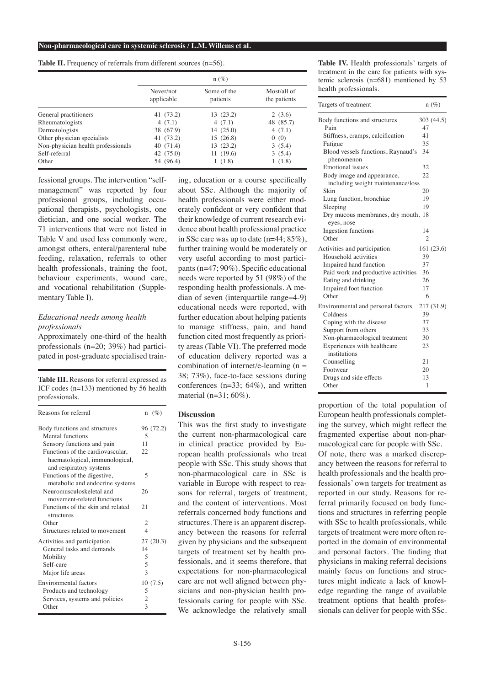Table II. Frequency of referrals from different sources (n=56).

|                                    | $n(\%)$                 |                         |                             |
|------------------------------------|-------------------------|-------------------------|-----------------------------|
|                                    | Never/not<br>applicable | Some of the<br>patients | Most/all of<br>the patients |
| General practitioners              | 41 (73.2)               | 13(23.2)                | 2(3.6)                      |
| Rheumatologists                    | 4(7.1)                  | 4(7.1)                  | 48 (85.7)                   |
| Dermatologists                     | 38 (67.9)               | 14(25.0)                | 4(7.1)                      |
| Other physician specialists        | 41 (73.2)               | 15(26.8)                | 0(0)                        |
| Non-physician health professionals | 40(71.4)                | 13(23.2)                | 3(5.4)                      |
| Self-referral                      | 42 (75.0)               | 11(19.6)                | 3(5.4)                      |
| Other                              | 54 (96.4)               | 1(1.8)                  | 1(1.8)                      |

fessional groups. The intervention "selfmanagement" was reported by four professional groups, including occupational therapists, psychologists, one dietician, and one social worker. The 71 interventions that were not listed in Table V and used less commonly were, amongst others, enteral/parenteral tube feeding, relaxation, referrals to other health professionals, training the foot, behaviour experiments, wound care, and vocational rehabilitation (Supplementary Table I).

## *Educational needs among health professionals*

Approximately one-third of the health professionals (n=20; 39%) had participated in post-graduate specialised train-

**Table III.** Reasons for referral expressed as ICF codes (n=133) mentioned by 56 health professionals.

| Reasons for referral              |                          | $n \ (\%)$ |
|-----------------------------------|--------------------------|------------|
| Body functions and structures     |                          | 96 (72.2)  |
| Mental functions                  | 5                        |            |
| Sensory functions and pain        | 11                       |            |
| Functions of the cardiovascular,  | 22                       |            |
| haematological, immunological,    |                          |            |
| and respiratory systems           |                          |            |
| Functions of the digestive,       | 5                        |            |
| metabolic and endocrine systems   |                          |            |
| Neuromusculoskeletal and          | 26                       |            |
| movement-related functions        |                          |            |
| Functions of the skin and related | 21                       |            |
| structures                        |                          |            |
| Other                             | 2                        |            |
| Structures related to movement    | $\overline{\mathcal{A}}$ |            |
| Activities and participation      |                          | 27(20.3)   |
| General tasks and demands         | 14                       |            |
| Mobility                          | 5                        |            |
| Self-care                         | 5                        |            |
| Major life areas                  | 3                        |            |
| Environmental factors             |                          | 10(7.5)    |
| Products and technology           | 5                        |            |
| Services, systems and policies    | 2                        |            |
| Other                             | 3                        |            |

ing, education or a course specifically about SSc. Although the majority of health professionals were either moderately confident or very confident that their knowledge of current research evidence about health professional practice in SSc care was up to date (n=44; 85%), further training would be moderately or very useful according to most participants (n=47; 90%). Specific educational needs were reported by 51 (98%) of the responding health professionals. A median of seven (interquartile range=4-9) educational needs were reported, with further education about helping patients to manage stiffness, pain, and hand function cited most frequently as priority areas (Table VI). The preferred mode of education delivery reported was a combination of internet/e-learning  $(n =$ 38; 73%), face-to-face sessions during conferences (n=33; 64%), and written material  $(n=31:60\%)$ .

# **Discussion**

This was the first study to investigate the current non-pharmacological care in clinical practice provided by European health professionals who treat people with SSc. This study shows that non-pharmacological care in SSc is variable in Europe with respect to reasons for referral, targets of treatment, and the content of interventions. Most referrals concerned body functions and structures. There is an apparent discrepancy between the reasons for referral given by physicians and the subsequent targets of treatment set by health professionals, and it seems therefore, that expectations for non-pharmacological care are not well aligned between physicians and non-physician health professionals caring for people with SSc. We acknowledge the relatively small

**Table IV.** Health professionals' targets of treatment in the care for patients with systemic sclerosis  $(n=681)$  mentioned by 53 health professionals.

| Targets of treatment                                            | $n(\%)$        |  |
|-----------------------------------------------------------------|----------------|--|
| Body functions and structures                                   | 303 (44.5)     |  |
| Pain                                                            | 47             |  |
| Stiffness, cramps, calcification                                | 41             |  |
| Fatigue                                                         | 35             |  |
| Blood vessels functions, Raynaud's<br>phenomenon                | 34             |  |
| Emotional issues                                                | 32             |  |
| Body image and appearance,<br>including weight maintenance/loss | 22             |  |
| Skin                                                            | 20             |  |
| Lung function, bronchiae                                        | 19             |  |
| Sleeping                                                        | 19             |  |
| Dry mucous membranes, dry mouth,<br>eyes, nose                  | 18             |  |
| Ingestion functions                                             | 14             |  |
| Other                                                           | $\mathfrak{D}$ |  |
| Activities and participation                                    | 161 (23.6)     |  |
| Household activities                                            | 39             |  |
| Impaired hand function                                          | 37             |  |
| Paid work and productive activities                             | 36             |  |
| Eating and drinking                                             | 26             |  |
| Impaired foot function                                          | 17             |  |
| Other                                                           | 6              |  |
| Environmental and personal factors                              | 217 (31.9)     |  |
| Coldness                                                        | 39             |  |
| Coping with the disease                                         | 37             |  |
| Support from others                                             | 33             |  |
| Non-pharmacological treatment                                   | 30             |  |
| Experiences with healthcare<br>institutions                     | 23             |  |
| Counselling                                                     | 21             |  |
| Footwear                                                        | 20             |  |
| Drugs and side effects                                          | 13             |  |
| Other                                                           | 1              |  |

proportion of the total population of European health professionals completing the survey, which might reflect the fragmented expertise about non-pharmacological care for people with SSc. Of note, there was a marked discrepancy between the reasons for referral to health professionals and the health professionals' own targets for treatment as reported in our study. Reasons for referral primarily focused on body functions and structures in referring people with SSc to health professionals, while targets of treatment were more often reported in the domain of environmental and personal factors. The finding that physicians in making referral decisions mainly focus on functions and structures might indicate a lack of knowledge regarding the range of available treatment options that health professionals can deliver for people with SSc.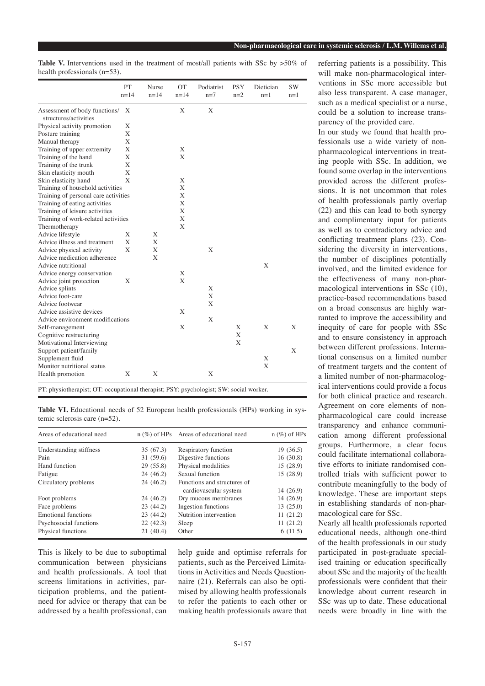Table V. Interventions used in the treatment of most/all patients with SSc by  $>50\%$  of health professionals (n=53).

|                                      | PT<br>$n = 14$ | Nurse<br>$n=14$ | <b>OT</b><br>$n = 14$ | Podiatrist<br>$n=7$ | <b>PSY</b><br>$n=2$ | Dietician<br>$n=1$ | <b>SW</b><br>$n=1$ |
|--------------------------------------|----------------|-----------------|-----------------------|---------------------|---------------------|--------------------|--------------------|
| Assessment of body functions/        | X              |                 | X                     | X                   |                     |                    |                    |
| structures/activities                |                |                 |                       |                     |                     |                    |                    |
| Physical activity promotion          | Χ              |                 |                       |                     |                     |                    |                    |
| Posture training                     | X              |                 |                       |                     |                     |                    |                    |
| Manual therapy                       | X              |                 |                       |                     |                     |                    |                    |
| Training of upper extremity          | X              |                 | X                     |                     |                     |                    |                    |
| Training of the hand                 | X              |                 | X                     |                     |                     |                    |                    |
| Training of the trunk                | X              |                 |                       |                     |                     |                    |                    |
| Skin elasticity mouth                | X              |                 |                       |                     |                     |                    |                    |
| Skin elasticity hand                 | X              |                 | X                     |                     |                     |                    |                    |
| Training of household activities     |                |                 | X                     |                     |                     |                    |                    |
| Training of personal care activities |                |                 | X                     |                     |                     |                    |                    |
| Training of eating activities        |                |                 | X                     |                     |                     |                    |                    |
| Training of leisure activities       |                |                 | X                     |                     |                     |                    |                    |
| Training of work-related activities  |                |                 | X                     |                     |                     |                    |                    |
| Thermotherapy                        |                |                 | X                     |                     |                     |                    |                    |
| Advice lifestyle                     | X              | X               |                       |                     |                     |                    |                    |
| Advice illness and treatment         | X              | X               |                       |                     |                     |                    |                    |
| Advice physical activity             | X              | X               |                       | X                   |                     |                    |                    |
| Advice medication adherence          |                | X               |                       |                     |                     |                    |                    |
| Advice nutritional                   |                |                 |                       |                     |                     | X                  |                    |
| Advice energy conservation           |                |                 | X                     |                     |                     |                    |                    |
| Advice joint protection              | X              |                 | X                     |                     |                     |                    |                    |
| Advice splints                       |                |                 |                       | X                   |                     |                    |                    |
| Advice foot-care                     |                |                 |                       | X                   |                     |                    |                    |
| Advice footwear                      |                |                 |                       | X                   |                     |                    |                    |
| Advice assistive devices             |                |                 | X                     |                     |                     |                    |                    |
| Advice environment modifications     |                |                 |                       | X                   |                     |                    |                    |
| Self-management                      |                |                 | X                     |                     | X                   | X                  | X                  |
| Cognitive restructuring              |                |                 |                       |                     | X                   |                    |                    |
| Motivational Interviewing            |                |                 |                       |                     | X                   |                    |                    |
| Support patient/family               |                |                 |                       |                     |                     |                    | X                  |
| Supplement fluid                     |                |                 |                       |                     |                     | X                  |                    |
| Monitor nutritional status           |                |                 |                       |                     |                     | X                  |                    |
| Health promotion                     | X              | X               |                       | X                   |                     |                    |                    |

PT: physiotherapist; OT: occupational therapist; PSY: psychologist; SW: social worker.

Table VI. Educational needs of 52 European health professionals (HPs) working in systemic sclerosis care (n=52).

| Areas of educational need |           | $n$ (%) of HPs Areas of educational need | $n$ (%) of HPs |
|---------------------------|-----------|------------------------------------------|----------------|
| Understanding stiffness   | 35(67.3)  | Respiratory function                     | 19(36.5)       |
| Pain                      | 31(59.6)  | Digestive functions                      | 16(30.8)       |
| Hand function             | 29(55.8)  | Physical modalities                      | 15(28.9)       |
| Fatigue                   | 24(46.2)  | Sexual function                          | 15(28.9)       |
| Circulatory problems      | 24 (46.2) | Functions and structures of              |                |
|                           |           | cardiovascular system                    | 14(26.9)       |
| Foot problems             | 24 (46.2) | Dry mucous membranes                     | 14 (26.9)      |
| Face problems             | 23(44.2)  | Ingestion functions                      | 13(25.0)       |
| Emotional functions       | 23(44.2)  | Nutrition intervention                   | 11(21.2)       |
| Psychosocial functions    | 22(42.3)  | Sleep                                    | 11(21.2)       |
| Physical functions        | 21(40.4)  | Other                                    | 6(11.5)        |

This is likely to be due to suboptimal communication between physicians and health professionals. A tool that screens limitations in activities, participation problems, and the patientneed for advice or therapy that can be addressed by a health professional, can

help guide and optimise referrals for patients, such as the Perceived Limitations in Activities and Needs Questionnaire (21). Referrals can also be optimised by allowing health professionals to refer the patients to each other or making health professionals aware that referring patients is a possibility. This will make non-pharmacological interventions in SSc more accessible but also less transparent. A case manager, such as a medical specialist or a nurse, could be a solution to increase transparency of the provided care.

In our study we found that health professionals use a wide variety of nonpharmacological interventions in treating people with SSc. In addition, we found some overlap in the interventions provided across the different professions. It is not uncommon that roles of health professionals partly overlap (22) and this can lead to both synergy and complimentary input for patients as well as to contradictory advice and conflicting treatment plans (23). Considering the diversity in interventions, the number of disciplines potentially involved, and the limited evidence for the effectiveness of many non-pharmacological interventions in SSc (10), practice-based recommendations based on a broad consensus are highly warranted to improve the accessibility and inequity of care for people with SSc and to ensure consistency in approach between different professions. International consensus on a limited number of treatment targets and the content of a limited number of non-pharmacological interventions could provide a focus for both clinical practice and research. Agreement on core elements of nonpharmacological care could increase transparency and enhance communication among different professional groups. Furthermore, a clear focus could facilitate international collaborative efforts to initiate randomised controlled trials with sufficient power to contribute meaningfully to the body of knowledge. These are important steps in establishing standards of non-pharmacological care for SSc.

Nearly all health professionals reported educational needs, although one-third of the health professionals in our study participated in post-graduate specialised training or education specifically about SSc and the majority of the health professionals were confident that their knowledge about current research in SSc was up to date. These educational needs were broadly in line with the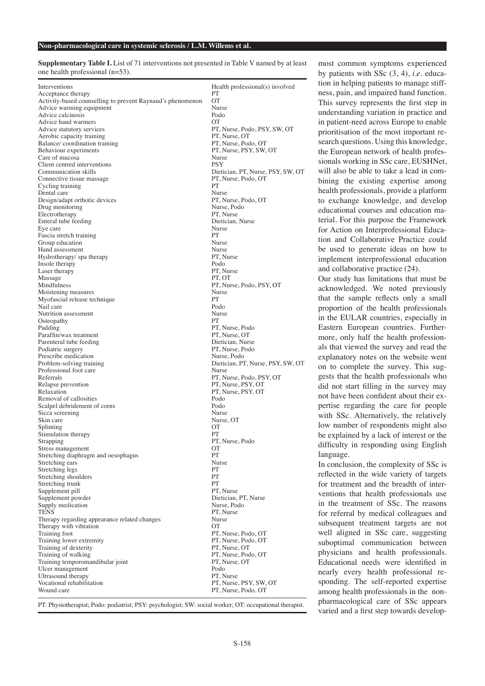**Supplementary Table I.** List of 71 interventions not presented in Table V named by at least one health professional (n=53).

| Interventions                                              | Health professional(s) involved            |
|------------------------------------------------------------|--------------------------------------------|
| Acceptance therapy                                         | PT                                         |
| Activity-based counselling to prevent Raynaud's phenomenon | $\overline{O}$                             |
| Advice warming equipment                                   | Nurse                                      |
| Advice calcinosis<br>Advice hand warmers                   | Podo<br>OТ                                 |
| Advice statutory services                                  | PT, Nurse, Podo, PSY, SW, OT               |
| Aerobic capacity training                                  | PT, Nurse, OT                              |
| Balance/coordination training                              | PT, Nurse, Podo, OT                        |
| Behaviour experiments                                      | PT, Nurse, PSY, SW, OT                     |
| Care of mucosa                                             | Nurse                                      |
| Client centred interventions                               | <b>PSY</b>                                 |
| Communication skills                                       | Dietician, PT, Nurse, PSY, SW, OT          |
| Connective tissue massage<br>Cycling training              | PT, Nurse, Podo, OT<br>PТ                  |
| Dental care                                                | Nurse                                      |
| Design/adapt orthotic devices                              | PT, Nurse, Podo, OT                        |
| Drug monitoring                                            | Nurse, Podo                                |
| Electrotherapy                                             | PT, Nurse                                  |
| Enteral tube feeding                                       | Dietician, Nurse                           |
| Eye care                                                   | Nurse                                      |
| Fascia stretch training                                    | PT<br>Nurse                                |
| Group education<br>Hand assessment                         | Nurse                                      |
| Hydrotherapy/spa therapy                                   | PT, Nurse                                  |
| Insole therapy                                             | Podo                                       |
| Laser therapy                                              | PT, Nurse                                  |
| Massage                                                    | PT. OT                                     |
| Mindfulness                                                | PT, Nurse, Podo, PSY, OT                   |
| Moistening measures                                        | Nurse                                      |
| Myofascial release technique<br>Nail care                  | PT<br>Podo                                 |
| Nutrition assessment                                       | Nurse                                      |
| Osteopathy                                                 | PT                                         |
| Padding                                                    | PT, Nurse, Podo                            |
| Paraffin/wax treatment                                     | PT, Nurse, OT                              |
| Parenteral tube feeding                                    | Dietician, Nurse                           |
| Podiatric surgery                                          | PT, Nurse, Podo                            |
| Prescribe medication                                       | Nurse, Podo                                |
| Problem-solving training<br>Professional foot care         | Dietician, PT, Nurse, PSY, SW, OT<br>Nurse |
| Referrals                                                  | PT, Nurse, Podo, PSY, OT                   |
| Relapse prevention                                         | PT, Nurse, PSY, OT                         |
| Relaxation                                                 | PT, Nurse, PSY, OT                         |
| Removal of callosities                                     | Podo                                       |
| Scalpel debridement of corns                               | Podo                                       |
| Sicca screening                                            | Nurse                                      |
| Skin care<br>Splinting                                     | Nurse, OT<br>OТ                            |
| Stimulation therapy                                        | <b>PT</b>                                  |
| Strapping                                                  | PT, Nurse, Podo                            |
| Stress management                                          | OТ                                         |
| Stretching diaphragm and oesophagus                        | PТ                                         |
| Stretching ears                                            | Nurse                                      |
| Stretching legs                                            | PT                                         |
| Stretching shoulders<br>Stretching trunk                   | PT<br>PT                                   |
| Supplement pill                                            | PT, Nurse                                  |
| Supplement powder                                          | Dietician, PT, Nurse                       |
| Supply medication                                          | Nurse, Podo                                |
| <b>TENS</b>                                                | PT. Nurse                                  |
| Therapy regarding appearance related changes               | Nurse                                      |
| Therapy with vibration                                     | <b>OT</b>                                  |
| Training foot<br>Training lower extremity                  | PT, Nurse, Podo, OT                        |
| Training of dexterity                                      | PT, Nurse, Podo, OT<br>PT, Nurse, OT       |
| Training of walking                                        | PT, Nurse, Podo, OT                        |
| Training temporomandibular joint                           | PT, Nurse, OT                              |
| Ulcer management                                           | Podo                                       |
| Ultrasound therapy                                         | PT, Nurse                                  |
| Vocational rehabilitation                                  | PT, Nurse, PSY, SW, OT                     |
| Wound care                                                 | PT, Nurse, Podo, OT                        |

PT: Physiotherapist; Podo: podiatrist; PSY: psychologist; SW: social worker; OT: occupational therapist.

most common symptoms experienced by patients with SSc (3, 4), *i.e*. education in helping patients to manage stiffness, pain, and impaired hand function. This survey represents the first step in understanding variation in practice and in patient-need across Europe to enable prioritisation of the most important research questions. Using this knowledge, the European network of health professionals working in SSc care, EUSHNet, will also be able to take a lead in combining the existing expertise among health professionals, provide a platform to exchange knowledge, and develop educational courses and education material. For this purpose the Framework for Action on Interprofessional Education and Collaborative Practice could be used to generate ideas on how to implement interprofessional education and collaborative practice (24).

Our study has limitations that must be acknowledged. We noted previously that the sample reflects only a small proportion of the health professionals in the EULAR countries, especially in Eastern European countries. Furthermore, only half the health professionals that viewed the survey and read the explanatory notes on the website went on to complete the survey. This suggests that the health professionals who did not start filling in the survey may not have been confident about their expertise regarding the care for people with SSc. Alternatively, the relatively low number of respondents might also be explained by a lack of interest or the difficulty in responding using English language.

In conclusion, the complexity of SSc is reflected in the wide variety of targets for treatment and the breadth of interventions that health professionals use in the treatment of SSc. The reasons for referral by medical colleagues and subsequent treatment targets are not well aligned in SSc care, suggesting suboptimal communication between physicians and health professionals. Educational needs were identified in nearly every health professional responding. The self-reported expertise among health professionals in the nonpharmacological care of SSc appears varied and a first step towards develop-